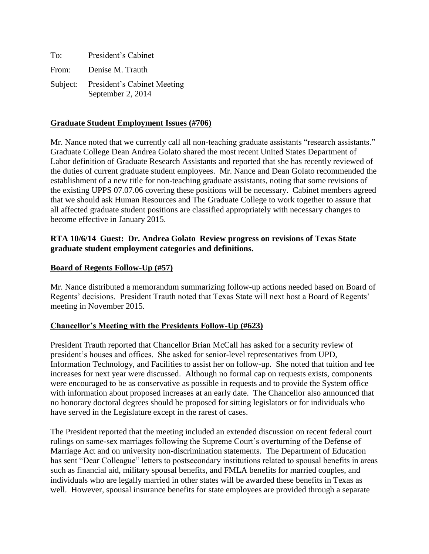| To:   | President's Cabinet                                       |
|-------|-----------------------------------------------------------|
| From: | Denise M. Trauth                                          |
|       | Subject: President's Cabinet Meeting<br>September 2, 2014 |

#### **Graduate Student Employment Issues (#706)**

Mr. Nance noted that we currently call all non-teaching graduate assistants "research assistants." Graduate College Dean Andrea Golato shared the most recent United States Department of Labor definition of Graduate Research Assistants and reported that she has recently reviewed of the duties of current graduate student employees. Mr. Nance and Dean Golato recommended the establishment of a new title for non-teaching graduate assistants, noting that some revisions of the existing UPPS 07.07.06 covering these positions will be necessary. Cabinet members agreed that we should ask Human Resources and The Graduate College to work together to assure that all affected graduate student positions are classified appropriately with necessary changes to become effective in January 2015.

# **RTA 10/6/14 Guest: Dr. Andrea Golato Review progress on revisions of Texas State graduate student employment categories and definitions.**

## **Board of Regents Follow-Up (#57)**

Mr. Nance distributed a memorandum summarizing follow-up actions needed based on Board of Regents' decisions. President Trauth noted that Texas State will next host a Board of Regents' meeting in November 2015.

# **Chancellor's Meeting with the Presidents Follow-Up (#623)**

President Trauth reported that Chancellor Brian McCall has asked for a security review of president's houses and offices. She asked for senior-level representatives from UPD, Information Technology, and Facilities to assist her on follow-up. She noted that tuition and fee increases for next year were discussed. Although no formal cap on requests exists, components were encouraged to be as conservative as possible in requests and to provide the System office with information about proposed increases at an early date. The Chancellor also announced that no honorary doctoral degrees should be proposed for sitting legislators or for individuals who have served in the Legislature except in the rarest of cases.

The President reported that the meeting included an extended discussion on recent federal court rulings on same-sex marriages following the Supreme Court's overturning of the Defense of Marriage Act and on university non-discrimination statements. The Department of Education has sent "Dear Colleague" letters to postsecondary institutions related to spousal benefits in areas such as financial aid, military spousal benefits, and FMLA benefits for married couples, and individuals who are legally married in other states will be awarded these benefits in Texas as well. However, spousal insurance benefits for state employees are provided through a separate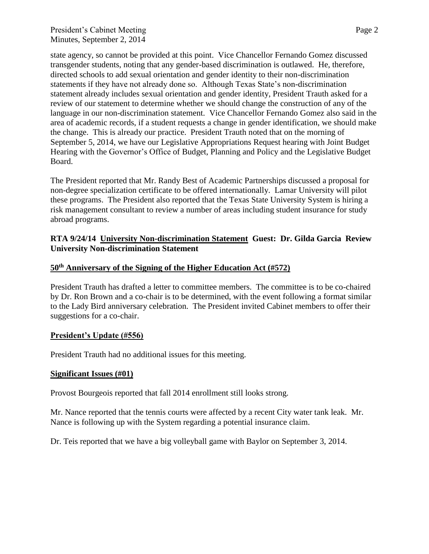## President's Cabinet Meeting Page 2 Minutes, September 2, 2014

state agency, so cannot be provided at this point. Vice Chancellor Fernando Gomez discussed transgender students, noting that any gender-based discrimination is outlawed. He, therefore, directed schools to add sexual orientation and gender identity to their non-discrimination statements if they have not already done so. Although Texas State's non-discrimination statement already includes sexual orientation and gender identity, President Trauth asked for a review of our statement to determine whether we should change the construction of any of the language in our non-discrimination statement. Vice Chancellor Fernando Gomez also said in the area of academic records, if a student requests a change in gender identification, we should make the change. This is already our practice. President Trauth noted that on the morning of September 5, 2014, we have our Legislative Appropriations Request hearing with Joint Budget Hearing with the Governor's Office of Budget, Planning and Policy and the Legislative Budget Board.

The President reported that Mr. Randy Best of Academic Partnerships discussed a proposal for non-degree specialization certificate to be offered internationally. Lamar University will pilot these programs. The President also reported that the Texas State University System is hiring a risk management consultant to review a number of areas including student insurance for study abroad programs.

# **RTA 9/24/14 University Non-discrimination Statement Guest: Dr. Gilda Garcia Review University Non-discrimination Statement**

# **50th Anniversary of the Signing of the Higher Education Act (#572)**

President Trauth has drafted a letter to committee members. The committee is to be co-chaired by Dr. Ron Brown and a co-chair is to be determined, with the event following a format similar to the Lady Bird anniversary celebration. The President invited Cabinet members to offer their suggestions for a co-chair.

#### **President's Update (#556)**

President Trauth had no additional issues for this meeting.

#### **Significant Issues (#01)**

Provost Bourgeois reported that fall 2014 enrollment still looks strong.

Mr. Nance reported that the tennis courts were affected by a recent City water tank leak. Mr. Nance is following up with the System regarding a potential insurance claim.

Dr. Teis reported that we have a big volleyball game with Baylor on September 3, 2014.